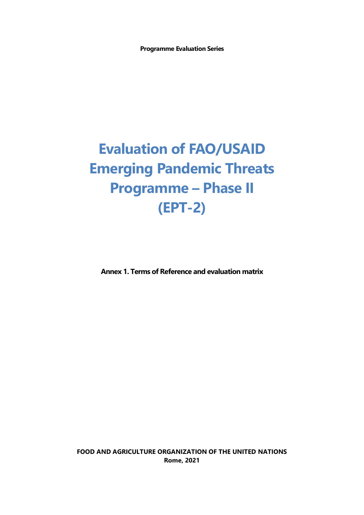**Programme Evaluation Series**

# **Evaluation of FAO/USAID Emerging Pandemic Threats Programme – Phase II (EPT-2)**

**Annex 1. Terms of Reference and evaluation matrix**

**FOOD AND AGRICULTURE ORGANIZATION OF THE UNITED NATIONS Rome, 2021**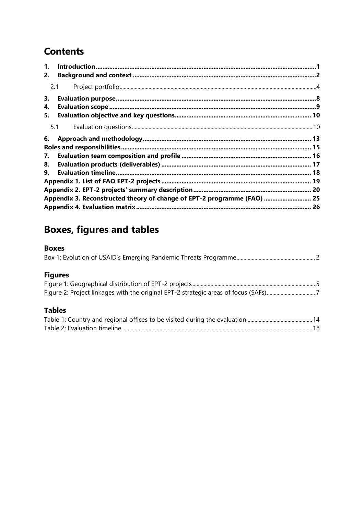## **Contents**

| 1.<br>2.       |                                                                         |  |
|----------------|-------------------------------------------------------------------------|--|
| 2.1            |                                                                         |  |
| З.<br>4.<br>5. |                                                                         |  |
|                | 5.1                                                                     |  |
| 6.<br>7.       |                                                                         |  |
| 8.<br>9.       |                                                                         |  |
|                | Appendix 3. Reconstructed theory of change of EPT-2 programme (FAO)  25 |  |
|                |                                                                         |  |

# **Boxes, figures and tables**

#### **Boxes**

|--|--|

### **Figures**

#### **Tables**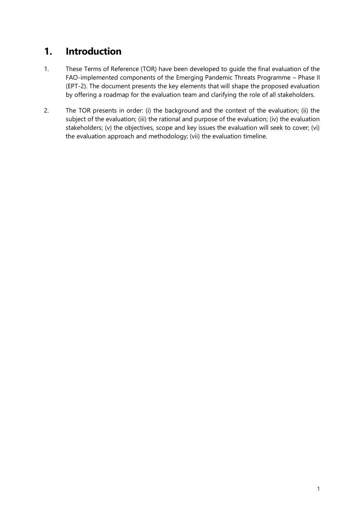### <span id="page-2-0"></span>**1. Introduction**

- 1. These Terms of Reference (TOR) have been developed to guide the final evaluation of the FAO-implemented components of the Emerging Pandemic Threats Programme – Phase II (EPT-2). The document presents the key elements that will shape the proposed evaluation by offering a roadmap for the evaluation team and clarifying the role of all stakeholders.
- 2. The TOR presents in order: (i) the background and the context of the evaluation; (ii) the subject of the evaluation; (iii) the rational and purpose of the evaluation; (iv) the evaluation stakeholders; (v) the objectives, scope and key issues the evaluation will seek to cover; (vi) the evaluation approach and methodology; (vii) the evaluation timeline.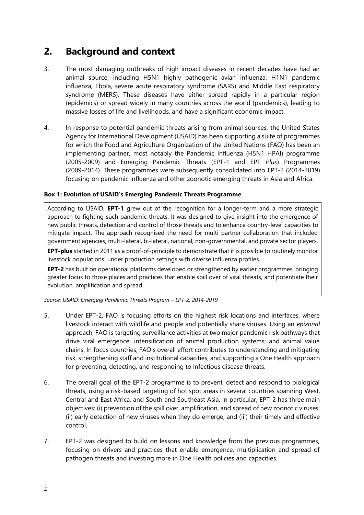### <span id="page-3-0"></span>**2. Background and context**

- 3. The most damaging outbreaks of high impact diseases in recent decades have had an animal source, including H5N1 highly pathogenic avian influenza, H1N1 pandemic influenza, Ebola, severe acute respiratory syndrome (SARS) and Middle East respiratory syndrome (MERS). These diseases have either spread rapidly in a particular region (epidemics) or spread widely in many countries across the world (pandemics), leading to massive losses of life and livelihoods, and have a significant economic impact.
- 4. In response to potential pandemic threats arising from animal sources, the United States Agency for International Development (USAID) has been supporting a suite of programmes for which the Food and Agriculture Organization of the United Nations (FAO) has been an implementing partner, most notably the Pandemic Influenza (H5N1 HPAI) programme (2005-2009) and Emerging Pandemic Threats (EPT-1 and EPT *Plus*) Programmes (2009-2014). These programmes were subsequently consolidated into EPT-2 (2014-2019) focusing on pandemic influenza and other zoonotic emerging threats in Asia and Africa.

#### <span id="page-3-1"></span>**Box 1: Evolution of USAID's Emerging Pandemic Threats Programme**

According to USAID, **EPT-1** grew out of the recognition for a longer-term and a more strategic approach to fighting such pandemic threats. It was designed to give insight into the emergence of new public threats, detection and control of those threats and to enhance country-level capacities to mitigate impact. The approach recognised the need for multi partner collaboration that included government agencies, multi-lateral, bi-lateral, national, non-governmental, and private sector players.

**EPT-plus** started in 2011 as a proof-of-principle to demonstrate that it is possible to routinely monitor livestock populations' under production settings with diverse influenza profiles.

**EPT-2** has built on operational platforms developed or strengthened by earlier programmes, bringing greater focus to those places and practices that enable spill over of viral threats, and potentiate their evolution, amplification and spread.

*Source: USAID: Emerging Pandemic Threats Program – EPT-2, 2014-2019*

- 5. Under EPT-2, FAO is focusing efforts on the highest risk locations and interfaces, where livestock interact with wildlife and people and potentially share viruses. Using an *epizonal* approach, FAO is targeting surveillance activities at two major pandemic risk pathways that drive viral emergence: intensification of animal production systems; and animal value chains. In focus countries, FAO's overall effort contributes to understanding and mitigating risk, strengthening staff and institutional capacities, and supporting a One Health approach for preventing, detecting, and responding to infectious disease threats.
- 6. The overall goal of the EPT-2 programme is to prevent, detect and respond to biological threats, using a risk-based targeting of hot spot areas in several countries spanning West, Central and East Africa, and South and Southeast Asia. In particular, EPT-2 has three main objectives: (i) prevention of the spill over, amplification, and spread of new zoonotic viruses; (ii) early detection of new viruses when they do emerge; and (iii) their timely and effective control.
- 7. EPT-2 was designed to build on lessons and knowledge from the previous programmes, focusing on drivers and practices that enable emergence, multiplication and spread of pathogen threats and investing more in One Health policies and capacities.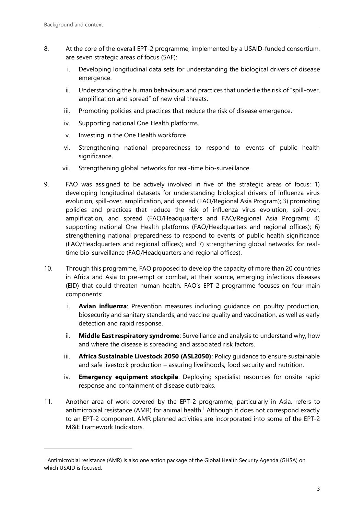- 8. At the core of the overall EPT-2 programme, implemented by a USAID-funded consortium, are seven strategic areas of focus (SAF):
	- i. Developing longitudinal data sets for understanding the biological drivers of disease emergence.
	- ii. Understanding the human behaviours and practices that underlie the risk of "spill-over, amplification and spread" of new viral threats.
	- iii. Promoting policies and practices that reduce the risk of disease emergence.
	- iv. Supporting national One Health platforms.
	- v. Investing in the One Health workforce.
	- vi. Strengthening national preparedness to respond to events of public health significance.
	- vii. Strengthening global networks for real-time bio-surveillance.
- 9. FAO was assigned to be actively involved in five of the strategic areas of focus: 1) developing longitudinal datasets for understanding biological drivers of influenza virus evolution, spill-over, amplification, and spread (FAO/Regional Asia Program); 3) promoting policies and practices that reduce the risk of influenza virus evolution, spill-over, amplification, and spread (FAO/Headquarters and FAO/Regional Asia Program); 4) supporting national One Health platforms (FAO/Headquarters and regional offices); 6) strengthening national preparedness to respond to events of public health significance (FAO/Headquarters and regional offices); and 7) strengthening global networks for realtime bio-surveillance (FAO/Headquarters and regional offices).
- 10. Through this programme, FAO proposed to develop the capacity of more than 20 countries in Africa and Asia to pre-empt or combat, at their source, emerging infectious diseases (EID) that could threaten human health. FAO's EPT-2 programme focuses on four main components:
	- i. **Avian influenza**: Prevention measures including guidance on poultry production, biosecurity and sanitary standards, and vaccine quality and vaccination, as well as early detection and rapid response.
	- ii. **Middle East respiratory syndrome**: Surveillance and analysis to understand why, how and where the disease is spreading and associated risk factors.
	- iii. **Africa Sustainable Livestock 2050 (ASL2050)**: Policy guidance to ensure sustainable and safe livestock production – assuring livelihoods, food security and nutrition.
	- iv. **Emergency equipment stockpile**: Deploying specialist resources for onsite rapid response and containment of disease outbreaks.
- 11. Another area of work covered by the EPT-2 programme, particularly in Asia, refers to antimicrobial resistance (AMR) for animal health. <sup>1</sup> Although it does not correspond exactly to an EPT-2 component, AMR planned activities are incorporated into some of the EPT-2 M&E Framework Indicators.

 $1$  Antimicrobial resistance (AMR) is also one action package of the Global Health Security Agenda (GHSA) on which USAID is focused.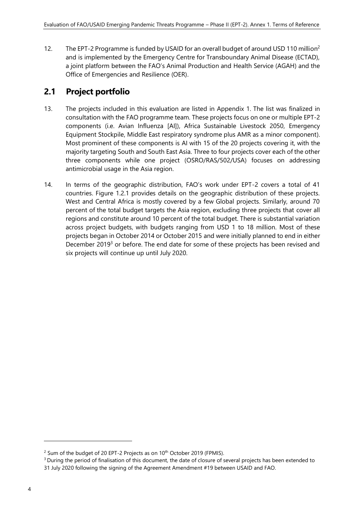12. The EPT-2 Programme is funded by USAID for an overall budget of around USD 110 million<sup>2</sup> and is implemented by the Emergency Centre for Transboundary Animal Disease (ECTAD), a joint platform between the FAO's Animal Production and Health Service (AGAH) and the Office of Emergencies and Resilience (OER).

#### <span id="page-5-0"></span>**2.1 Project portfolio**

- 13. The projects included in this evaluation are listed in Appendix 1. The list was finalized in consultation with the FAO programme team. These projects focus on one or multiple EPT-2 components (i.e. Avian Influenza [AI]), Africa Sustainable Livestock 2050, Emergency Equipment Stockpile, Middle East respiratory syndrome plus AMR as a minor component). Most prominent of these components is AI with 15 of the 20 projects covering it, with the majority targeting South and South East Asia. Three to four projects cover each of the other three components while one project (OSRO/RAS/502/USA) focuses on addressing antimicrobial usage in the Asia region.
- 14. In terms of the geographic distribution, FAO's work under EPT-2 covers a total of 41 countries. Figure 1.2.1 provides details on the geographic distribution of these projects. West and Central Africa is mostly covered by a few Global projects. Similarly, around 70 percent of the total budget targets the Asia region, excluding three projects that cover all regions and constitute around 10 percent of the total budget. There is substantial variation across project budgets, with budgets ranging from USD 1 to 18 million. Most of these projects began in October 2014 or October 2015 and were initially planned to end in either December 2019<sup>3</sup> or before. The end date for some of these projects has been revised and six projects will continue up until July 2020.

 $2$  Sum of the budget of 20 EPT-2 Projects as on 10<sup>th</sup> October 2019 (FPMIS).

<sup>&</sup>lt;sup>3</sup> During the period of finalisation of this document, the date of closure of several projects has been extended to 31 July 2020 following the signing of the Agreement Amendment #19 between USAID and FAO.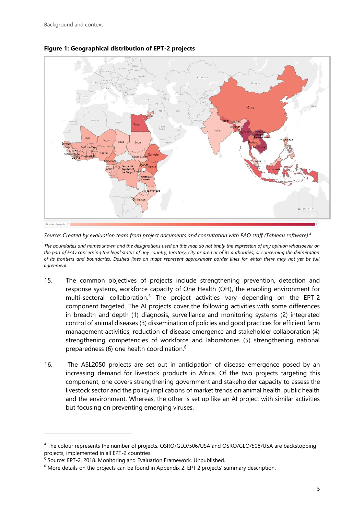

#### <span id="page-6-0"></span>**Figure 1: Geographical distribution of EPT-2 projects**

*Source: Created by evaluation team from project documents and consultation with FAO staff (Tableau software)* <sup>4</sup>

*The boundaries and names shown and the designations used on this map do not imply the expression of any opinion whatsoever on the part of FAO concerning the legal status of any country, territory, city or area or of its authorities, or concerning the delimitation of its frontiers and boundaries. Dashed lines on maps represent approximate border lines for which there may not yet be full agreement.*

- 15. The common objectives of projects include strengthening prevention, detection and response systems, workforce capacity of One Health (OH), the enabling environment for multi-sectoral collaboration.<sup>5</sup> The project activities vary depending on the EPT-2 component targeted. The AI projects cover the following activities with some differences in breadth and depth (1) diagnosis, surveillance and monitoring systems (2) integrated control of animal diseases (3) dissemination of policies and good practices for efficient farm management activities, reduction of disease emergence and stakeholder collaboration (4) strengthening competencies of workforce and laboratories (5) strengthening national preparedness (6) one health coordination.<sup>6</sup>
- 16. The ASL2050 projects are set out in anticipation of disease emergence posed by an increasing demand for livestock products in Africa. Of the two projects targeting this component, one covers strengthening government and stakeholder capacity to assess the livestock sector and the policy implications of market trends on animal health, public health and the environment. Whereas, the other is set up like an AI project with similar activities but focusing on preventing emerging viruses.

<sup>4</sup> The colour represents the number of projects. OSRO/GLO/506/USA and OSRO/GLO/508/USA are backstopping projects, implemented in all EPT-2 countries.

<sup>5</sup> Source: EPT-2. 2018. Monitoring and Evaluation Framework. Unpublished.

 $6$  More details on the projects can be found in Appendix 2. EPT 2 projects' summary description.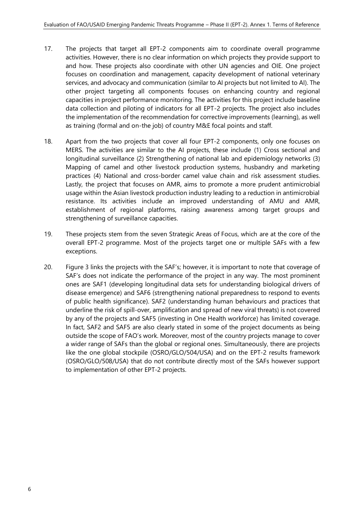- 17. The projects that target all EPT-2 components aim to coordinate overall programme activities. However, there is no clear information on which projects they provide support to and how. These projects also coordinate with other UN agencies and OIE. One project focuses on coordination and management, capacity development of national veterinary services, and advocacy and communication (similar to AI projects but not limited to AI). The other project targeting all components focuses on enhancing country and regional capacities in project performance monitoring. The activities for this project include baseline data collection and piloting of indicators for all EPT-2 projects. The project also includes the implementation of the recommendation for corrective improvements (learning), as well as training (formal and on-the job) of country M&E focal points and staff.
- 18. Apart from the two projects that cover all four EPT-2 components, only one focuses on MERS. The activities are similar to the AI projects, these include (1) Cross sectional and longitudinal surveillance (2) Strengthening of national lab and epidemiology networks (3) Mapping of camel and other livestock production systems, husbandry and marketing practices (4) National and cross-border camel value chain and risk assessment studies. Lastly, the project that focuses on AMR, aims to promote a more prudent antimicrobial usage within the Asian livestock production industry leading to a reduction in antimicrobial resistance. Its activities include an improved understanding of AMU and AMR, establishment of regional platforms, raising awareness among target groups and strengthening of surveillance capacities.
- 19. These projects stem from the seven Strategic Areas of Focus, which are at the core of the overall EPT-2 programme. Most of the projects target one or multiple SAFs with a few exceptions.
- 20. Figure 3 links the projects with the SAF's; however, it is important to note that coverage of SAF's does not indicate the performance of the project in any way. The most prominent ones are SAF1 (developing longitudinal data sets for understanding biological drivers of disease emergence) and SAF6 (strengthening national preparedness to respond to events of public health significance). SAF2 (understanding human behaviours and practices that underline the risk of spill-over, amplification and spread of new viral threats) is not covered by any of the projects and SAF5 (investing in One Health workforce) has limited coverage. In fact, SAF2 and SAF5 are also clearly stated in some of the project documents as being outside the scope of FAO's work. Moreover, most of the country projects manage to cover a wider range of SAFs than the global or regional ones. Simultaneously, there are projects like the one global stockpile (OSRO/GLO/504/USA) and on the EPT-2 results framework (OSRO/GLO/508/USA) that do not contribute directly most of the SAFs however support to implementation of other EPT-2 projects.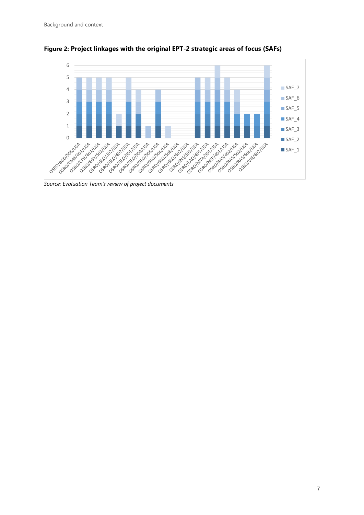

<span id="page-8-0"></span>**Figure 2: Project linkages with the original EPT-2 strategic areas of focus (SAFs)**

*Source: Evaluation Team's review of project documents*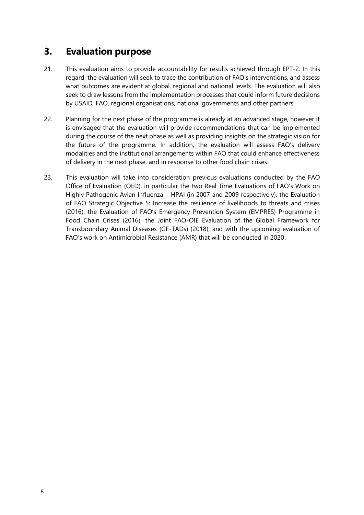#### <span id="page-9-0"></span>**3. Evaluation purpose**

- 21. This evaluation aims to provide accountability for results achieved through EPT-2. In this regard, the evaluation will seek to trace the contribution of FAO's interventions, and assess what outcomes are evident at global, regional and national levels. The evaluation will also seek to draw lessons from the implementation processes that could inform future decisions by USAID, FAO, regional organisations, national governments and other partners.
- 22. Planning for the next phase of the programme is already at an advanced stage, however it is envisaged that the evaluation will provide recommendations that can be implemented during the course of the next phase as well as providing insights on the strategic vision for the future of the programme. In addition, the evaluation will assess FAO's delivery modalities and the institutional arrangements within FAO that could enhance effectiveness of delivery in the next phase, and in response to other food chain crises.
- 23. This evaluation will take into consideration previous evaluations conducted by the FAO Office of Evaluation (OED), in particular the two Real Time Evaluations of FAO's Work on Highly Pathogenic Avian Influenza – HPAI (in 2007 and 2009 respectively), the Evaluation of FAO Strategic Objective 5: Increase the resilience of livelihoods to threats and crises (2016), the Evaluation of FAO's Emergency Prevention System (EMPRES) Programme in Food Chain Crises (2016), the Joint FAO-OIE Evaluation of the Global Framework for Transboundary Animal Diseases (GF-TADs) (2018), and with the upcoming evaluation of FAO's work on Antimicrobial Resistance (AMR) that will be conducted in 2020.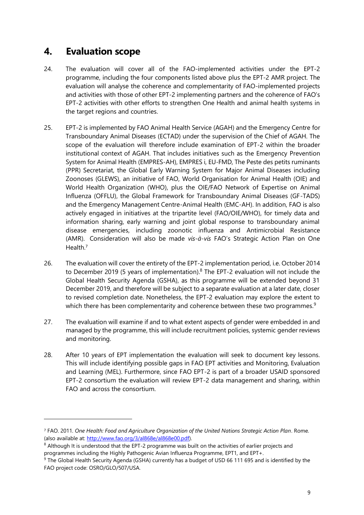### <span id="page-10-0"></span>**4. Evaluation scope**

- 24. The evaluation will cover all of the FAO-implemented activities under the EPT-2 programme, including the four components listed above plus the EPT-2 AMR project. The evaluation will analyse the coherence and complementarity of FAO-implemented projects and activities with those of other EPT-2 implementing partners and the coherence of FAO's EPT-2 activities with other efforts to strengthen One Health and animal health systems in the target regions and countries.
- 25. EPT-2 is implemented by FAO Animal Health Service (AGAH) and the Emergency Centre for Transboundary Animal Diseases (ECTAD) under the supervision of the Chief of AGAH. The scope of the evaluation will therefore include examination of EPT-2 within the broader institutional context of AGAH. That includes initiatives such as the Emergency Prevention System for Animal Health (EMPRES-AH), EMPRES i, EU-FMD, The Peste des petits ruminants (PPR) Secretariat, the Global Early Warning System for Major Animal Diseases including Zoonoses (GLEWS), an initiative of FAO, World Organisation for Animal Health (OIE) and World Health Organization (WHO), plus the OIE/FAO Network of Expertise on Animal Influenza (OFFLU), the Global Framework for Transboundary Animal Diseases (GF-TADS) and the Emergency Management Centre-Animal Health (EMC-AH). In addition, FAO is also actively engaged in initiatives at the tripartite level (FAO/OIE/WHO), for timely data and information sharing, early warning and joint global response to transboundary animal disease emergencies, including zoonotic influenza and Antimicrobial Resistance (AMR). Consideration will also be made *vis-à-vis* FAO's Strategic Action Plan on One Health. 7
- 26. The evaluation will cover the entirety of the EPT-2 implementation period, i.e. October 2014 to December 2019 (5 years of implementation). $8$  The EPT-2 evaluation will not include the Global Health Security Agenda (GSHA), as this programme will be extended beyond 31 December 2019, and therefore will be subject to a separate evaluation at a later date, closer to revised completion date. Nonetheless, the EPT-2 evaluation may explore the extent to which there has been complementarity and coherence between these two programmes. $9$
- 27. The evaluation will examine if and to what extent aspects of gender were embedded in and managed by the programme, this will include recruitment policies, systemic gender reviews and monitoring.
- 28. After 10 years of EPT implementation the evaluation will seek to document key lessons. This will include identifying possible gaps in FAO EPT activities and Monitoring, Evaluation and Learning (MEL). Furthermore, since FAO EPT-2 is part of a broader USAID sponsored EPT-2 consortium the evaluation will review EPT-2 data management and sharing, within FAO and across the consortium.

<sup>7</sup> FAO. 2011. *One Health: Food and Agriculture Organization of the United Nations Strategic Action Plan*. Rome. (also available at: [http://www.fao.org/3/al868e/al868e00.pdf\)](http://www.fao.org/3/al868e/al868e00.pdf).

<sup>&</sup>lt;sup>8</sup> Although It is understood that the EPT-2 programme was built on the activities of earlier projects and programmes including the Highly Pathogenic Avian Influenza Programme, EPT1, and EPT+.

<sup>9</sup> The Global Health Security Agenda (GSHA) currently has a budget of USD 66 111 695 and is identified by the FAO project code: OSRO/GLO/507/USA.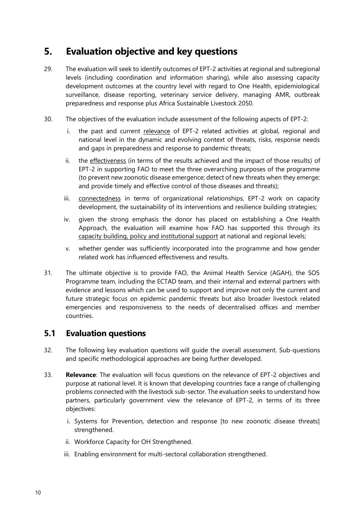### <span id="page-11-0"></span>**5. Evaluation objective and key questions**

- 29. The evaluation will seek to identify outcomes of EPT-2 activities at regional and subregional levels (including coordination and information sharing), while also assessing capacity development outcomes at the country level with regard to One Health, epidemiological surveillance, disease reporting, veterinary service delivery, managing AMR, outbreak preparedness and response plus Africa Sustainable Livestock 2050.
- 30. The objectives of the evaluation include assessment of the following aspects of EPT-2:
	- i. the past and current relevance of EPT-2 related activities at global, regional and national level in the dynamic and evolving context of threats, risks, response needs and gaps in preparedness and response to pandemic threats;
	- ii. the effectiveness (in terms of the results achieved and the impact of those results) of EPT-2 in supporting FAO to meet the three overarching purposes of the programme (to prevent new zoonotic disease emergence; detect of new threats when they emerge; and provide timely and effective control of those diseases and threats);
	- iii. connectedness in terms of organizational relationships, EPT-2 work on capacity development, the sustainability of its interventions and resilience building strategies;
	- iv. given the strong emphasis the donor has placed on establishing a One Health Approach, the evaluation will examine how FAO has supported this through its capacity building, policy and institutional support at national and regional levels;
	- v. whether gender was sufficiently incorporated into the programme and how gender related work has influenced effectiveness and results.
- 31. The ultimate objective is to provide FAO, the Animal Health Service (AGAH), the SO5 Programme team, including the ECTAD team, and their internal and external partners with evidence and lessons which can be used to support and improve not only the current and future strategic focus on epidemic pandemic threats but also broader livestock related emergencies and responsiveness to the needs of decentralised offices and member countries.

#### <span id="page-11-1"></span>**5.1 Evaluation questions**

- 32. The following key evaluation questions will guide the overall assessment. Sub-questions and specific methodological approaches are being further developed.
- 33. **Relevance**: The evaluation will focus questions on the relevance of EPT-2 objectives and purpose at national level. It is known that developing countries face a range of challenging problems connected with the livestock sub-sector. The evaluation seeks to understand how partners, particularly government view the relevance of EPT-2, in terms of its three objectives:
	- i. Systems for Prevention, detection and response [to new zoonotic disease threats] strengthened.
	- ii. Workforce Capacity for OH Strengthened.
	- iii. Enabling environment for multi-sectoral collaboration strengthened.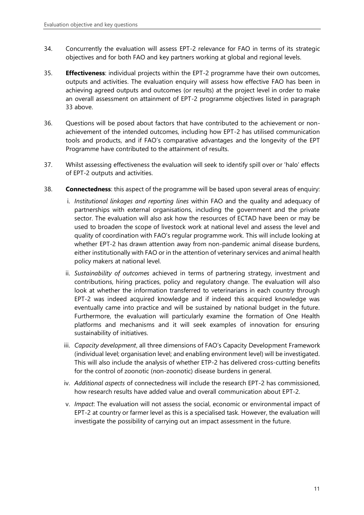- 34. Concurrently the evaluation will assess EPT-2 relevance for FAO in terms of its strategic objectives and for both FAO and key partners working at global and regional levels.
- 35. **Effectiveness**: individual projects within the EPT-2 programme have their own outcomes, outputs and activities. The evaluation enquiry will assess how effective FAO has been in achieving agreed outputs and outcomes (or results) at the project level in order to make an overall assessment on attainment of EPT-2 programme objectives listed in paragraph 33 above.
- 36. Questions will be posed about factors that have contributed to the achievement or nonachievement of the intended outcomes, including how EPT-2 has utilised communication tools and products, and if FAO's comparative advantages and the longevity of the EPT Programme have contributed to the attainment of results.
- 37. Whilst assessing effectiveness the evaluation will seek to identify spill over or 'halo' effects of EPT-2 outputs and activities.
- 38. **Connectedness**: this aspect of the programme will be based upon several areas of enquiry:
	- i. *Institutional linkages and reporting lines* within FAO and the quality and adequacy of partnerships with external organisations, including the government and the private sector. The evaluation will also ask how the resources of ECTAD have been or may be used to broaden the scope of livestock work at national level and assess the level and quality of coordination with FAO's regular programme work. This will include looking at whether EPT-2 has drawn attention away from non-pandemic animal disease burdens, either institutionally with FAO or in the attention of veterinary services and animal health policy makers at national level.
	- ii. *Sustainability of outcomes* achieved in terms of partnering strategy, investment and contributions, hiring practices, policy and regulatory change. The evaluation will also look at whether the information transferred to veterinarians in each country through EPT-2 was indeed acquired knowledge and if indeed this acquired knowledge was eventually came into practice and will be sustained by national budget in the future. Furthermore, the evaluation will particularly examine the formation of One Health platforms and mechanisms and it will seek examples of innovation for ensuring sustainability of initiatives.
	- iii. *Capacity development*, all three dimensions of FAO's Capacity Development Framework (individual level; organisation level; and enabling environment level) will be investigated. This will also include the analysis of whether ETP-2 has delivered cross-cutting benefits for the control of zoonotic (non-zoonotic) disease burdens in general.
	- iv. *Additional aspects* of connectedness will include the research EPT-2 has commissioned, how research results have added value and overall communication about EPT-2.
	- v. *Impact*: The evaluation will not assess the social, economic or environmental impact of EPT-2 at country or farmer level as this is a specialised task. However, the evaluation will investigate the possibility of carrying out an impact assessment in the future.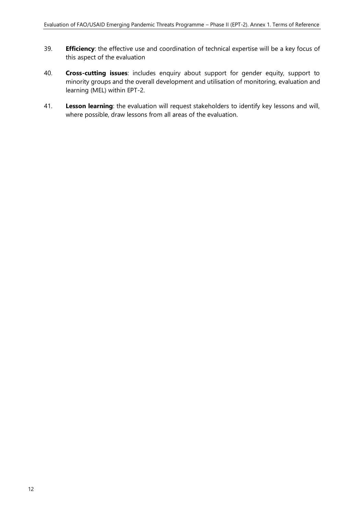- 39. **Efficiency**: the effective use and coordination of technical expertise will be a key focus of this aspect of the evaluation
- 40. **Cross-cutting issues**: includes enquiry about support for gender equity, support to minority groups and the overall development and utilisation of monitoring, evaluation and learning (MEL) within EPT-2.
- 41. **Lesson learning**: the evaluation will request stakeholders to identify key lessons and will, where possible, draw lessons from all areas of the evaluation.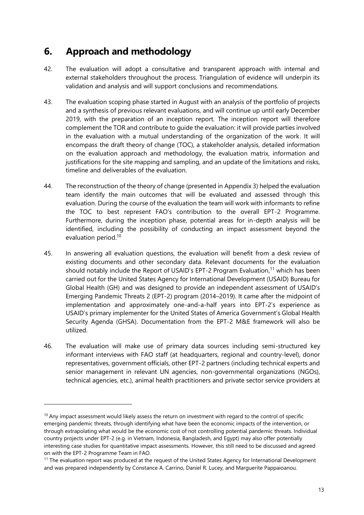### <span id="page-14-0"></span>**6. Approach and methodology**

- 42. The evaluation will adopt a consultative and transparent approach with internal and external stakeholders throughout the process. Triangulation of evidence will underpin its validation and analysis and will support conclusions and recommendations.
- 43. The evaluation scoping phase started in August with an analysis of the portfolio of projects and a synthesis of previous relevant evaluations, and will continue up until early December 2019, with the preparation of an inception report. The inception report will therefore complement the TOR and contribute to guide the evaluation: it will provide parties involved in the evaluation with a mutual understanding of the organization of the work. It will encompass the draft theory of change (TOC), a stakeholder analysis, detailed information on the evaluation approach and methodology, the evaluation matrix, information and justifications for the site mapping and sampling, and an update of the limitations and risks, timeline and deliverables of the evaluation.
- 44. The reconstruction of the theory of change (presented in Appendix 3) helped the evaluation team identify the main outcomes that will be evaluated and assessed through this evaluation. During the course of the evaluation the team will work with informants to refine the TOC to best represent FAO's contribution to the overall EPT-2 Programme. Furthermore, during the inception phase, potential areas for in-depth analysis will be identified, including the possibility of conducting an impact assessment beyond the evaluation period.<sup>10</sup>
- 45. In answering all evaluation questions, the evaluation will benefit from a desk review of existing documents and other secondary data. Relevant documents for the evaluation should notably include the Report of USAID's EPT-2 Program Evaluation,<sup>11</sup> which has been carried out for the United States Agency for International Development (USAID) Bureau for Global Health (GH) and was designed to provide an independent assessment of USAID's Emerging Pandemic Threats 2 (EPT-2) program (2014–2019). It came after the midpoint of implementation and approximately one-and-a-half years into EPT-2's experience as USAID's primary implementer for the United States of America Government's Global Health Security Agenda (GHSA). Documentation from the EPT-2 M&E framework will also be utilized.
- 46. The evaluation will make use of primary data sources including semi-structured key informant interviews with FAO staff (at headquarters, regional and country-level), donor representatives, government officials, other EPT-2 partners (including technical experts and senior management in relevant UN agencies, non-governmental organizations (NGOs), technical agencies, etc.), animal health practitioners and private sector service providers at

 $10$  Any impact assessment would likely assess the return on investment with regard to the control of specific emerging pandemic threats, through identifying what have been the economic impacts of the intervention, or through extrapolating what would be the economic cost of not controlling potential pandemic threats. Individual country projects under EPT-2 (e.g. in Vietnam, Indonesia, Bangladesh, and Egypt) may also offer potentially interesting case studies for quantitative impact assessments. However, this still need to be discussed and agreed on with the EPT-2 Programme Team in FAO.

<sup>&</sup>lt;sup>11</sup> The evaluation report was produced at the request of the United States Agency for International Development and was prepared independently by Constance A. Carrino, Daniel R. Lucey, and Marguerite Pappaioanou.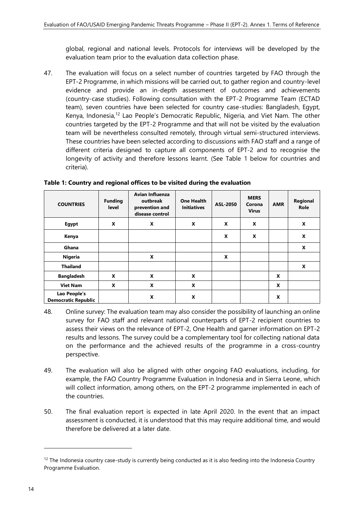global, regional and national levels. Protocols for interviews will be developed by the evaluation team prior to the evaluation data collection phase.

47. The evaluation will focus on a select number of countries targeted by FAO through the EPT-2 Programme, in which missions will be carried out, to gather region and country-level evidence and provide an in-depth assessment of outcomes and achievements (country-case studies). Following consultation with the EPT-2 Programme Team (ECTAD team), seven countries have been selected for country case-studies: Bangladesh, Egypt, Kenya, Indonesia,<sup>12</sup> Lao People's Democratic Republic, Nigeria, and Viet Nam. The other countries targeted by the EPT-2 Programme and that will not be visited by the evaluation team will be nevertheless consulted remotely, through virtual semi-structured interviews. These countries have been selected according to discussions with FAO staff and a range of different criteria designed to capture all components of EPT-2 and to recognise the longevity of activity and therefore lessons learnt. (See Table 1 below for countries and criteria).

| <b>COUNTRIES</b>                           | <b>Funding</b><br><b>level</b> | Avian Influenza<br>outbreak<br>prevention and<br>disease control | <b>One Health</b><br><b>Initiatives</b> | ASL-2050 | <b>MERS</b><br>Corona<br><b>Virus</b> | <b>AMR</b> | Regional<br>Role |
|--------------------------------------------|--------------------------------|------------------------------------------------------------------|-----------------------------------------|----------|---------------------------------------|------------|------------------|
| Egypt                                      | X                              | X                                                                | X                                       | X        | X                                     |            | X                |
| Kenya                                      |                                |                                                                  |                                         | X        | X                                     |            | X                |
| Ghana                                      |                                |                                                                  |                                         |          |                                       |            | X                |
| Nigeria                                    |                                | X                                                                |                                         | X        |                                       |            |                  |
| <b>Thailand</b>                            |                                |                                                                  |                                         |          |                                       |            | X                |
| <b>Bangladesh</b>                          | X                              | X                                                                | X                                       |          |                                       | X          |                  |
| <b>Viet Nam</b>                            | X                              | X                                                                | X                                       |          |                                       | X          |                  |
| Lao People's<br><b>Democratic Republic</b> |                                | X                                                                | X                                       |          |                                       | X          |                  |

<span id="page-15-0"></span>**Table 1: Country and regional offices to be visited during the evaluation**

- 48. Online survey: The evaluation team may also consider the possibility of launching an online survey for FAO staff and relevant national counterparts of EPT-2 recipient countries to assess their views on the relevance of EPT-2, One Health and garner information on EPT-2 results and lessons. The survey could be a complementary tool for collecting national data on the performance and the achieved results of the programme in a cross-country perspective.
- 49. The evaluation will also be aligned with other ongoing FAO evaluations, including, for example, the FAO Country Programme Evaluation in Indonesia and in Sierra Leone, which will collect information, among others, on the EPT-2 programme implemented in each of the countries.
- 50. The final evaluation report is expected in late April 2020. In the event that an impact assessment is conducted, it is understood that this may require additional time, and would therefore be delivered at a later date.

 $12$  The Indonesia country case-study is currently being conducted as it is also feeding into the Indonesia Country Programme Evaluation.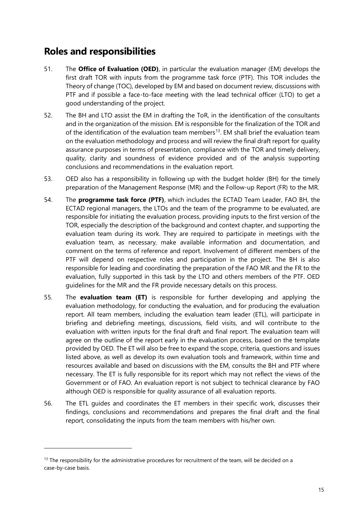### <span id="page-16-0"></span>**Roles and responsibilities**

- 51. The **Office of Evaluation (OED)**, in particular the evaluation manager (EM) develops the first draft TOR with inputs from the programme task force (PTF). This TOR includes the Theory of change (TOC), developed by EM and based on document review, discussions with PTF and if possible a face-to-face meeting with the lead technical officer (LTO) to get a good understanding of the project.
- 52. The BH and LTO assist the EM in drafting the ToR, in the identification of the consultants and in the organization of the mission. EM is responsible for the finalization of the TOR and of the identification of the evaluation team members<sup>13</sup>. EM shall brief the evaluation team on the evaluation methodology and process and will review the final draft report for quality assurance purposes in terms of presentation, compliance with the TOR and timely delivery, quality, clarity and soundness of evidence provided and of the analysis supporting conclusions and recommendations in the evaluation report.
- 53. OED also has a responsibility in following up with the budget holder (BH) for the timely preparation of the Management Response (MR) and the Follow-up Report (FR) to the MR.
- 54. The **programme task force (PTF)**, which includes the ECTAD Team Leader, FAO BH, the ECTAD regional managers, the LTOs and the team of the programme to be evaluated, are responsible for initiating the evaluation process, providing inputs to the first version of the TOR, especially the description of the background and context chapter, and supporting the evaluation team during its work. They are required to participate in meetings with the evaluation team, as necessary, make available information and documentation, and comment on the terms of reference and report. Involvement of different members of the PTF will depend on respective roles and participation in the project. The BH is also responsible for leading and coordinating the preparation of the FAO MR and the FR to the evaluation, fully supported in this task by the LTO and others members of the PTF. OED guidelines for the MR and the FR provide necessary details on this process.
- 55. The **evaluation team (ET)** is responsible for further developing and applying the evaluation methodology, for conducting the evaluation, and for producing the evaluation report. All team members, including the evaluation team leader (ETL), will participate in briefing and debriefing meetings, discussions, field visits, and will contribute to the evaluation with written inputs for the final draft and final report. The evaluation team will agree on the outline of the report early in the evaluation process, based on the template provided by OED. The ET will also be free to expand the scope, criteria, questions and issues listed above, as well as develop its own evaluation tools and framework, within time and resources available and based on discussions with the EM, consults the BH and PTF where necessary. The ET is fully responsible for its report which may not reflect the views of the Government or of FAO. An evaluation report is not subject to technical clearance by FAO although OED is responsible for quality assurance of all evaluation reports.
- 56. The ETL guides and coordinates the ET members in their specific work, discusses their findings, conclusions and recommendations and prepares the final draft and the final report, consolidating the inputs from the team members with his/her own.

 $13$  The responsibility for the administrative procedures for recruitment of the team, will be decided on a case-by-case basis.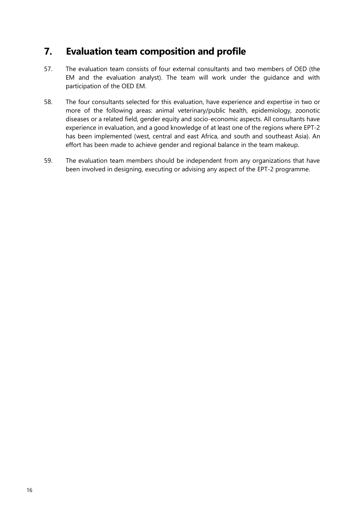### <span id="page-17-0"></span>**7. Evaluation team composition and profile**

- 57. The evaluation team consists of four external consultants and two members of OED (the EM and the evaluation analyst). The team will work under the guidance and with participation of the OED EM.
- 58. The four consultants selected for this evaluation, have experience and expertise in two or more of the following areas: animal veterinary/public health, epidemiology, zoonotic diseases or a related field, gender equity and socio-economic aspects. All consultants have experience in evaluation, and a good knowledge of at least one of the regions where EPT-2 has been implemented (west, central and east Africa, and south and southeast Asia). An effort has been made to achieve gender and regional balance in the team makeup.
- 59. The evaluation team members should be independent from any organizations that have been involved in designing, executing or advising any aspect of the EPT-2 programme.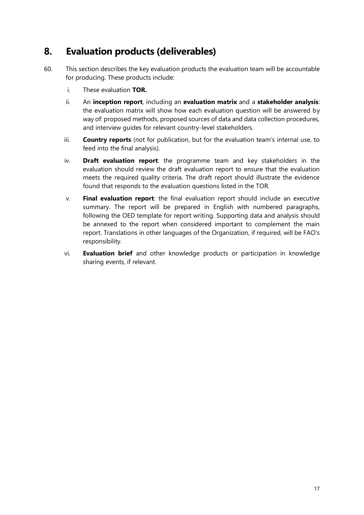### <span id="page-18-0"></span>**8. Evaluation products (deliverables)**

- 60. This section describes the key evaluation products the evaluation team will be accountable for producing. These products include:
	- i. These evaluation **TOR.**
	- ii. An **inception report**, including an **evaluation matrix** and a **stakeholder analysis**: the evaluation matrix will show how each evaluation question will be answered by way of: proposed methods, proposed sources of data and data collection procedures, and interview guides for relevant country-level stakeholders.
	- iii. **Country reports** (not for publication, but for the evaluation team's internal use, to feed into the final analysis).
	- iv. **Draft evaluation report**: the programme team and key stakeholders in the evaluation should review the draft evaluation report to ensure that the evaluation meets the required quality criteria. The draft report should illustrate the evidence found that responds to the evaluation questions listed in the TOR.
	- v. **Final evaluation report**: the final evaluation report should include an executive summary. The report will be prepared in English with numbered paragraphs, following the OED template for report writing. Supporting data and analysis should be annexed to the report when considered important to complement the main report. Translations in other languages of the Organization, if required, will be FAO's responsibility.
	- vi. **Evaluation brief** and other knowledge products or participation in knowledge sharing events, if relevant.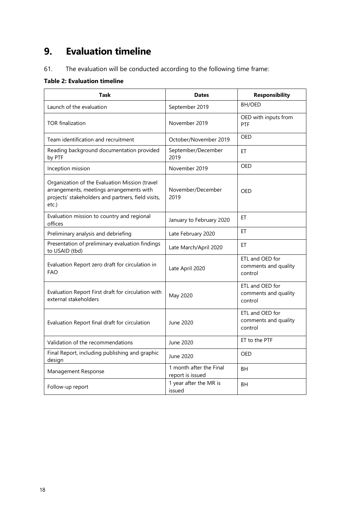# <span id="page-19-0"></span>**9. Evaluation timeline**

61. The evaluation will be conducted according to the following time frame:

#### <span id="page-19-1"></span>**Table 2: Evaluation timeline**

| Task                                                                                                                                                      | <b>Dates</b>                                | <b>Responsibility</b>                              |
|-----------------------------------------------------------------------------------------------------------------------------------------------------------|---------------------------------------------|----------------------------------------------------|
| Launch of the evaluation                                                                                                                                  | September 2019                              | BH/OED                                             |
| <b>TOR</b> finalization                                                                                                                                   | November 2019                               | OED with inputs from<br>PTF                        |
| Team identification and recruitment                                                                                                                       | October/November 2019                       | OFD                                                |
| Reading background documentation provided<br>by PTF                                                                                                       | September/December<br>2019                  | ET                                                 |
| Inception mission                                                                                                                                         | November 2019                               | OED                                                |
| Organization of the Evaluation Mission (travel<br>arrangements, meetings arrangements with<br>projects' stakeholders and partners, field visits,<br>etc.) | November/December<br>2019                   | OED                                                |
| Evaluation mission to country and regional<br>offices                                                                                                     | January to February 2020                    | ЕT                                                 |
| Preliminary analysis and debriefing                                                                                                                       | Late February 2020                          | ЕT                                                 |
| Presentation of preliminary evaluation findings<br>to USAID (tbd)                                                                                         | Late March/April 2020                       | ET                                                 |
| Evaluation Report zero draft for circulation in<br><b>FAO</b>                                                                                             | Late April 2020                             | ETL and OED for<br>comments and quality<br>control |
| Evaluation Report First draft for circulation with<br>external stakeholders                                                                               | May 2020                                    | ETL and OED for<br>comments and quality<br>control |
| Evaluation Report final draft for circulation                                                                                                             | June 2020                                   | ETL and OED for<br>comments and quality<br>control |
| Validation of the recommendations                                                                                                                         | June 2020                                   | ET to the PTF                                      |
| Final Report, including publishing and graphic<br>design                                                                                                  | June 2020                                   | OED                                                |
| Management Response                                                                                                                                       | 1 month after the Final<br>report is issued | BH                                                 |
| Follow-up report                                                                                                                                          | 1 year after the MR is<br>issued            | <b>BH</b>                                          |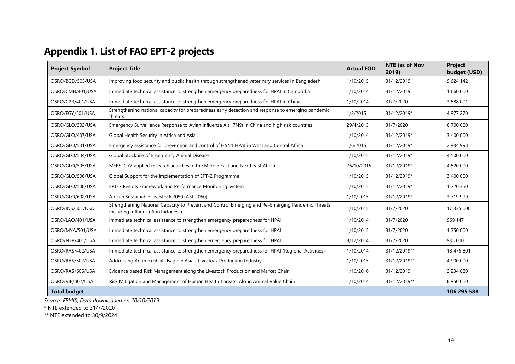# **Appendix 1. List of FAO EPT-2 projects**

| <b>Project Symbol</b> | <b>Project Title</b>                                                                                                                   | <b>Actual EOD</b> | NTE (as of Nov<br>2019) | <b>Project</b><br>budget (USD) |
|-----------------------|----------------------------------------------------------------------------------------------------------------------------------------|-------------------|-------------------------|--------------------------------|
| OSRO/BGD/505/USA      | Improving food security and public health through strengthened veterinary services in Bangladesh                                       | 1/10/2015         | 31/12/2019              | 9 624 142                      |
| OSRO/CMB/401/USA      | Immediate technical assistance to strengthen emergency preparedness for HPAI in Cambodia                                               | 1/10/2014         | 31/12/2019              | 1 660 000                      |
| OSRO/CPR/401/USA      | Immediate technical assistance to strengthen emergency preparedness for HPAI in China                                                  | 1/10/2014         | 31/7/2020               | 3 588 001                      |
| OSRO/EGY/501/USA      | Strengthening national capacity for preparedness early detection and response to emerging pandemic<br>threats                          | 1/2/2015          | 31/12/2019*             | 4 977 270                      |
| OSRO/GLO/302/USA      | Emergency Surveillance Response to Avian Influenza A (H7N9) in China and high risk countries                                           | 29/4/2013         | 31/7/2020               | 6 700 000                      |
| OSRO/GLO/407/USA      | Global Health Security in Africa and Asia                                                                                              | 1/10/2014         | 31/12/2019*             | 3 400 000                      |
| OSRO/GLO/501/USA      | Emergency assistance for prevention and control of H5N1 HPAI in West and Central Africa                                                | 1/6/2015          | 31/12/2019*             | 2 934 998                      |
| OSRO/GLO/504/USA      | Global Stockpile of Emergency Animal Disease                                                                                           | 1/10/2015         | 31/12/2019*             | 4 500 000                      |
| OSRO/GLO/505/USA      | MERS-CoV applied research activities in the Middle East and Northeast Africa                                                           | 26/10/2015        | 31/12/2019*             | 4 520 000                      |
| OSRO/GLO/506/USA      | Global Support for the implementation of EPT-2 Programme                                                                               | 1/10/2015         | 31/12/2019*             | 3 400 000                      |
| OSRO/GLO/508/USA      | EPT-2 Results Framework and Performance Monitoring System                                                                              | 1/10/2015         | 31/12/2019*             | 1720350                        |
| OSRO/GLO/602/USA      | African Sustainable Livestock 2050 (ASL 2050)                                                                                          | 1/10/2015         | 31/12/2019*             | 3719999                        |
| OSRO/INS/501/USA      | Strengthening National Capacity to Prevent and Control Emerging and Re-Emerging Pandemic Threats<br>Including Influenza A in Indonesia | 1/10/2015         | 31/7/2020               | 17 335 000                     |
| OSRO/LAO/401/USA      | Immediate technical assistance to strengthen emergency preparedness for HPAI                                                           | 1/10/2014         | 31/7/2020               | 969 147                        |
| OSRO/MYA/501/USA      | Immediate technical assistance to strengthen emergency preparedness for HPAI                                                           | 1/10/2015         | 31/7/2020               | 1750000                        |
| OSRO/NEP/401/USA      | Immediate technical assistance to strengthen emergency preparedness for HPAI                                                           | 8/12/2014         | 31/7/2020               | 935 000                        |
| OSRO/RAS/402/USA      | Immediate technical assistance to strengthen emergency preparedness for HPAI (Regional Activities)                                     | 1/10/2014         | 31/12/2019**            | 18 476 801                     |
| OSRO/RAS/502/USA      | Addressing Antimicrobial Usage in Asia's Livestock Production Industry                                                                 | 1/10/2015         | 31/12/2019**            | 4 900 000                      |
| OSRO/RAS/606/USA      | Evidence based Risk Management along the Livestock Production and Market Chain                                                         | 1/10/2016         | 31/12/2019              | 2 2 3 4 8 8 0                  |
| OSRO/VIE/402/USA      | Risk Mitigation and Management of Human Health Threats Along Animal Value Chain                                                        | 1/10/2014         | 31/12/2019**            | 8 950 000                      |
| <b>Total budget</b>   |                                                                                                                                        |                   |                         | 106 295 588                    |

<span id="page-20-0"></span>*Source: FPMIS; Data downloaded on 10/10/2019*

\* NTE extended to 31/7/2020

\*\* NTE extended to 30/9/2024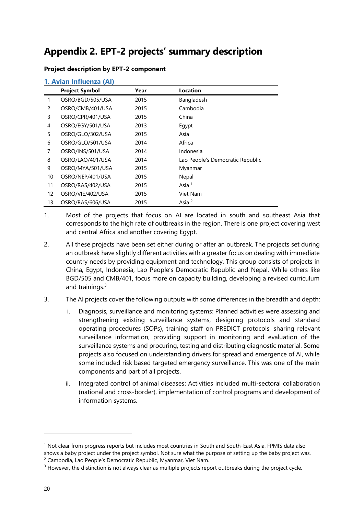### <span id="page-21-0"></span>**Appendix 2. EPT-2 projects' summary description**

#### **Project description by EPT-2 component**

|  |  | 1. Avian Influenza (AI) |  |
|--|--|-------------------------|--|
|--|--|-------------------------|--|

|    | <b>Project Symbol</b> | Year | <b>Location</b>                  |
|----|-----------------------|------|----------------------------------|
|    | OSRO/BGD/505/USA      | 2015 | Bangladesh                       |
| 2  | OSRO/CMB/401/USA      | 2015 | Cambodia                         |
| 3  | OSRO/CPR/401/USA      | 2015 | China                            |
| 4  | OSRO/EGY/501/USA      | 2013 | Egypt                            |
| 5  | OSRO/GLO/302/USA      | 2015 | Asia                             |
| 6  | OSRO/GLO/501/USA      | 2014 | Africa                           |
| 7  | OSRO/INS/501/USA      | 2014 | Indonesia                        |
| 8  | OSRO/LAO/401/USA      | 2014 | Lao People's Democratic Republic |
| 9  | OSRO/MYA/501/USA      | 2015 | Myanmar                          |
| 10 | OSRO/NEP/401/USA      | 2015 | Nepal                            |
| 11 | OSRO/RAS/402/USA      | 2015 | Asia <sup>1</sup>                |
| 12 | OSRO/VIE/402/USA      | 2015 | Viet Nam                         |
| 13 | OSRO/RAS/606/USA      | 2015 | Asia <sup>2</sup>                |

- 1. Most of the projects that focus on AI are located in south and southeast Asia that corresponds to the high rate of outbreaks in the region. There is one project covering west and central Africa and another covering Egypt.
- 2. All these projects have been set either during or after an outbreak. The projects set during an outbreak have slightly different activities with a greater focus on dealing with immediate country needs by providing equipment and technology. This group consists of projects in China, Egypt, Indonesia, Lao People's Democratic Republic and Nepal. While others like BGD/505 and CMB/401, focus more on capacity building, developing a revised curriculum and trainings.<sup>3</sup>
- 3. The AI projects cover the following outputs with some differences in the breadth and depth:
	- i. Diagnosis, surveillance and monitoring systems: Planned activities were assessing and strengthening existing surveillance systems, designing protocols and standard operating procedures (SOPs), training staff on PREDICT protocols, sharing relevant surveillance information, providing support in monitoring and evaluation of the surveillance systems and procuring, testing and distributing diagnostic material. Some projects also focused on understanding drivers for spread and emergence of AI, while some included risk based targeted emergency surveillance. This was one of the main components and part of all projects.
	- ii. Integrated control of animal diseases: Activities included multi-sectoral collaboration (national and cross-border), implementation of control programs and development of information systems.

 $<sup>1</sup>$  Not clear from progress reports but includes most countries in South and South-East Asia. FPMIS data also</sup> shows a baby project under the project symbol. Not sure what the purpose of setting up the baby project was. <sup>2</sup> Cambodia, Lao People's Democratic Republic, Myanmar, Viet Nam.

<sup>&</sup>lt;sup>3</sup> However, the distinction is not always clear as multiple projects report outbreaks during the project cycle.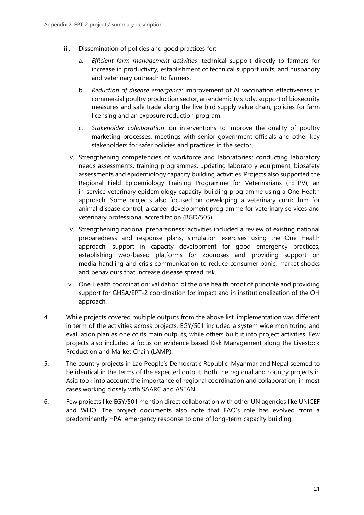- iii. Dissemination of policies and good practices for:
	- a. *Efficient farm management activities*: technical support directly to farmers for increase in productivity, establishment of technical support units, and husbandry and veterinary outreach to farmers.
	- b. *Reduction of disease emergence*: improvement of AI vaccination effectiveness in commercial poultry production sector, an endemicity study, support of biosecurity measures and safe trade along the live bird supply value chain, policies for farm licensing and an exposure reduction program.
	- c. *Stakeholder collaboration*: on interventions to improve the quality of poultry marketing processes, meetings with senior government officials and other key stakeholders for safer policies and practices in the sector.
	- iv. Strengthening competencies of workforce and laboratories: conducting laboratory needs assessments, training programmes, updating laboratory equipment, biosafety assessments and epidemiology capacity building activities. Projects also supported the Regional Field Epidemiology Training Programme for Veterinarians (FETPV), an in-service veterinary epidemiology capacity-building programme using a One Health approach. Some projects also focused on developing a veterinary curriculum for animal disease control, a career development programme for veterinary services and veterinary professional accreditation (BGD/505).
	- v. Strengthening national preparedness: activities included a review of existing national preparedness and response plans, simulation exercises using the One Health approach, support in capacity development for good emergency practices, establishing web-based platforms for zoonoses and providing support on media-handling and crisis communication to reduce consumer panic, market shocks and behaviours that increase disease spread risk.
	- vi. One Health coordination: validation of the one health proof of principle and providing support for GHSA/EPT-2 coordination for impact and in institutionalization of the OH approach.
- 4. While projects covered multiple outputs from the above list, implementation was different in term of the activities across projects. EGY/501 included a system wide monitoring and evaluation plan as one of its main outputs, while others built it into project activities. Few projects also included a focus on evidence based Risk Management along the Livestock Production and Market Chain (LAMP).
- 5. The country projects in Lao People's Democratic Republic, Myanmar and Nepal seemed to be identical in the terms of the expected output. Both the regional and country projects in Asia took into account the importance of regional coordination and collaboration, in most cases working closely with SAARC and ASEAN.
- 6. Few projects like EGY/501 mention direct collaboration with other UN agencies like UNICEF and WHO. The project documents also note that FAO's role has evolved from a predominantly HPAI emergency response to one of long-term capacity building.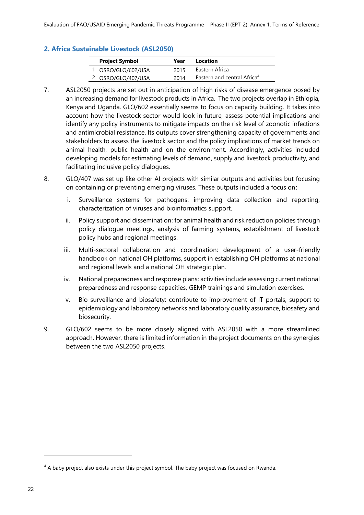#### **2. Africa Sustainable Livestock (ASL2050)**

| <b>Project Symbol</b> | Year | Location                                |
|-----------------------|------|-----------------------------------------|
| 1 OSRO/GLO/602/USA    | 2015 | Eastern Africa                          |
| 2 OSRO/GLO/407/USA    | 2014 | Eastern and central Africa <sup>4</sup> |

- 7. ASL2050 projects are set out in anticipation of high risks of disease emergence posed by an increasing demand for livestock products in Africa. The two projects overlap in Ethiopia, Kenya and Uganda. GLO/602 essentially seems to focus on capacity building. It takes into account how the livestock sector would look in future, assess potential implications and identify any policy instruments to mitigate impacts on the risk level of zoonotic infections and antimicrobial resistance. Its outputs cover strengthening capacity of governments and stakeholders to assess the livestock sector and the policy implications of market trends on animal health, public health and on the environment. Accordingly, activities included developing models for estimating levels of demand, supply and livestock productivity, and facilitating inclusive policy dialogues.
- 8. GLO/407 was set up like other AI projects with similar outputs and activities but focusing on containing or preventing emerging viruses. These outputs included a focus on:
	- i. Surveillance systems for pathogens: improving data collection and reporting, characterization of viruses and bioinformatics support.
	- ii. Policy support and dissemination: for animal health and risk reduction policies through policy dialogue meetings, analysis of farming systems, establishment of livestock policy hubs and regional meetings.
	- iii. Multi-sectoral collaboration and coordination: development of a user-friendly handbook on national OH platforms, support in establishing OH platforms at national and regional levels and a national OH strategic plan.
	- iv. National preparedness and response plans: activities include assessing current national preparedness and response capacities, GEMP trainings and simulation exercises.
	- v. Bio surveillance and biosafety: contribute to improvement of IT portals, support to epidemiology and laboratory networks and laboratory quality assurance, biosafety and biosecurity.
- 9. GLO/602 seems to be more closely aligned with ASL2050 with a more streamlined approach. However, there is limited information in the project documents on the synergies between the two ASL2050 projects.

<sup>4</sup> A baby project also exists under this project symbol. The baby project was focused on Rwanda.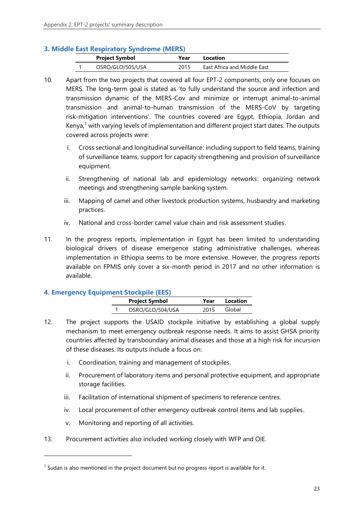#### **3. Middle East Respiratory Syndrome (MERS)**

| <b>Project Symbol</b> | Year | Location                    |  |
|-----------------------|------|-----------------------------|--|
| OSRO/GLO/505/USA      | 2015 | East Africa and Middle East |  |

- 10. Apart from the two projects that covered all four EPT-2 components, only one focuses on MERS. The long-term goal is stated as 'to fully understand the source and infection and transmission dynamic of the MERS-Cov and minimize or interrupt animal-to-animal transmission and animal-to-human transmission of the MERS-CoV by targeting risk-mitigation interventions'. The countries covered are Egypt, Ethiopia, Jordan and Kenya, <sup>1</sup> with varying levels of implementation and different project start dates. The outputs covered across projects were:
	- i. Cross sectional and longitudinal surveillance: including support to field teams, training of surveillance teams, support for capacity strengthening and provision of surveillance equipment.
	- ii. Strengthening of national lab and epidemiology networks: organizing network meetings and strengthening sample banking system.
	- iii. Mapping of camel and other livestock production systems, husbandry and marketing practices.
	- iv. National and cross-border camel value chain and risk assessment studies.
- 11. In the progress reports, implementation in Egypt has been limited to understanding biological drivers of disease emergence stating administrative challenges, whereas implementation in Ethiopia seems to be more extensive. However, the progress reports available on FPMIS only cover a six-month period in 2017 and no other information is available.

#### **4. Emergency Equipment Stockpile (EES)**

| $\frac{1}{2}$ |                       |      |          |  |  |
|---------------|-----------------------|------|----------|--|--|
|               | <b>Project Symbol</b> | Year | Location |  |  |
|               | OSRO/GLO/504/USA      | 2015 | Global   |  |  |

- 12. The project supports the USAID stockpile initiative by establishing a global supply mechanism to meet emergency outbreak response needs. It aims to assist GHSA priority countries affected by transboundary animal diseases and those at a high risk for incursion of these diseases. Its outputs include a focus on:
	- i. Coordination, training and management of stockpiles.
	- ii. Procurement of laboratory items and personal protective equipment, and appropriate storage facilities.
	- iii. Facilitation of international shipment of specimens to reference centres.
	- iv. Local procurement of other emergency outbreak control items and lab supplies.
	- v. Monitoring and reporting of all activities.
- 13. Procurement activities also included working closely with WFP and OIE.

 $1$  Sudan is also mentioned in the project document but no progress report is available for it.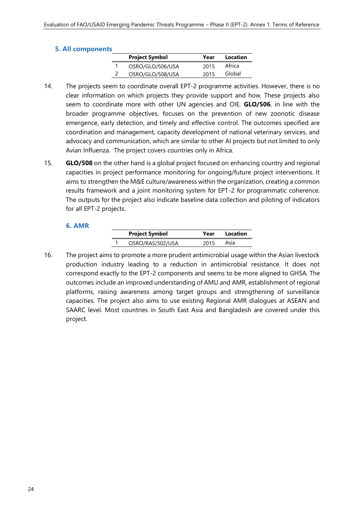#### **5. All components**

| <b>Project Symbol</b> | Year | Location |
|-----------------------|------|----------|
| OSRO/GLO/506/USA      | 2015 | Africa   |
| OSRO/GLO/508/USA      | 2015 | Global   |

- 14. The projects seem to coordinate overall EPT-2 programme activities. However, there is no clear information on which projects they provide support and how. These projects also seem to coordinate more with other UN agencies and OIE. **GLO/506**, in line with the broader programme objectives, focuses on the prevention of new zoonotic disease emergence, early detection, and timely and effective control. The outcomes specified are coordination and management, capacity development of national veterinary services, and advocacy and communication, which are similar to other AI projects but not limited to only Avian Influenza. The project covers countries only in Africa.
- 15. **GLO/508** on the other hand is a global project focused on enhancing country and regional capacities in project performance monitoring for ongoing/future project interventions. It aims to strengthen the M&E culture/awareness within the organization, creating a common results framework and a joint monitoring system for EPT-2 for programmatic coherence. The outputs for the project also indicate baseline data collection and piloting of indicators for all EPT-2 projects.

#### **6. AMR**

| <b>Project Symbol</b> | Year | Location |
|-----------------------|------|----------|
| OSRO/RAS/502/USA      | 2015 | Asia     |

16. The project aims to promote a more prudent antimicrobial usage within the Asian livestock production industry leading to a reduction in antimicrobial resistance. It does not correspond exactly to the EPT-2 components and seems to be more aligned to GHSA. The outcomes include an improved understanding of AMU and AMR, establishment of regional platforms, raising awareness among target groups and strengthening of surveillance capacities. The project also aims to use existing Regional AMR dialogues at ASEAN and SAARC level. Most countries in South East Asia and Bangladesh are covered under this project.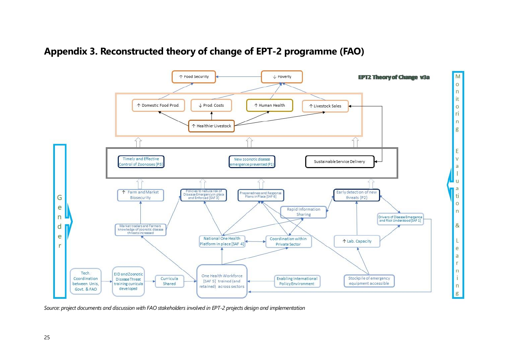

### **Appendix 3. Reconstructed theory of change of EPT-2 programme (FAO)**

<span id="page-26-0"></span>*Source: project documents and discussion with FAO stakeholders involved in EPT-2 projects design and implementation*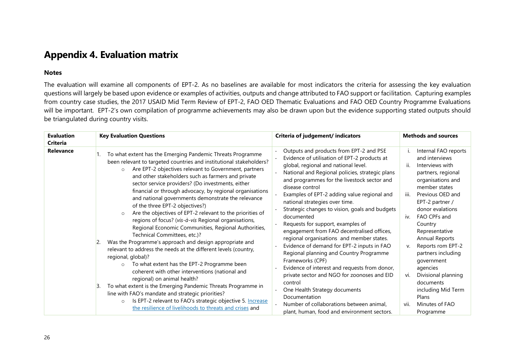### **Appendix 4. Evaluation matrix**

#### **Notes**

The evaluation will examine all components of EPT-2. As no baselines are available for most indicators the criteria for assessing the key evaluation questions will largely be based upon evidence or examples of activities, outputs and change attributed to FAO support or facilitation. Capturing examples from country case studies, the 2017 USAID Mid Term Review of EPT-2, FAO OED Thematic Evaluations and FAO OED Country Programme Evaluations will be important. EPT-2's own compilation of programme achievements may also be drawn upon but the evidence supporting stated outputs should be triangulated during country visits.

<span id="page-27-0"></span>

| <b>Evaluation</b><br><b>Criteria</b> | <b>Key Evaluation Questions</b>                                                                                                                                                                                                                                                                                                                                                                                                                                                                                                                                                                                                                                                                                                                                                                                                                                                                                                                                                                                                                                                                                                                                                                                                                                              | Criteria of judgement/ indicators                                                                                                                                                                                                                                                                                                                                                                                                                                                                                                                                                                                                                                                                                                                                                                                                                                                                          | <b>Methods and sources</b>                                                                                                                                                                                                                                                                                                                                                                                                                                        |
|--------------------------------------|------------------------------------------------------------------------------------------------------------------------------------------------------------------------------------------------------------------------------------------------------------------------------------------------------------------------------------------------------------------------------------------------------------------------------------------------------------------------------------------------------------------------------------------------------------------------------------------------------------------------------------------------------------------------------------------------------------------------------------------------------------------------------------------------------------------------------------------------------------------------------------------------------------------------------------------------------------------------------------------------------------------------------------------------------------------------------------------------------------------------------------------------------------------------------------------------------------------------------------------------------------------------------|------------------------------------------------------------------------------------------------------------------------------------------------------------------------------------------------------------------------------------------------------------------------------------------------------------------------------------------------------------------------------------------------------------------------------------------------------------------------------------------------------------------------------------------------------------------------------------------------------------------------------------------------------------------------------------------------------------------------------------------------------------------------------------------------------------------------------------------------------------------------------------------------------------|-------------------------------------------------------------------------------------------------------------------------------------------------------------------------------------------------------------------------------------------------------------------------------------------------------------------------------------------------------------------------------------------------------------------------------------------------------------------|
| Relevance                            | To what extent has the Emerging Pandemic Threats Programme<br>been relevant to targeted countries and institutional stakeholders?<br>Are EPT-2 objectives relevant to Government, partners<br>$\circ$<br>and other stakeholders such as farmers and private<br>sector service providers? (Do investments, either<br>financial or through advocacy, by regional organisations<br>and national governments demonstrate the relevance<br>of the three EPT-2 objectives?)<br>Are the objectives of EPT-2 relevant to the priorities of<br>$\circ$<br>regions of focus? (vis-à-vis Regional organisations,<br>Regional Economic Communities, Regional Authorities,<br>Technical Committees, etc.)?<br>Was the Programme's approach and design appropriate and<br>2.<br>relevant to address the needs at the different levels (country,<br>regional, global)?<br>To what extent has the EPT-2 Programme been<br>$\circ$<br>coherent with other interventions (national and<br>regional) on animal health?<br>To what extent is the Emerging Pandemic Threats Programme in<br>$\mathsf{B}$<br>line with FAO's mandate and strategic priorities?<br>Is EPT-2 relevant to FAO's strategic objective 5. Increase<br>$\circ$<br>the resilience of livelihoods to threats and crises and | Outputs and products from EPT-2 and PSE<br>Evidence of utilisation of EPT-2 products at<br>global, regional and national level.<br>National and Regional policies, strategic plans<br>and programmes for the livestock sector and<br>disease control<br>Examples of EPT-2 adding value regional and<br>national strategies over time.<br>Strategic changes to vision, goals and budgets<br>documented<br>Requests for support, examples of<br>engagement from FAO decentralised offices,<br>regional organisations and member states.<br>Evidence of demand for EPT-2 inputs in FAO<br>Regional planning and Country Programme<br>Frameworks (CPF)<br>Evidence of interest and requests from donor,<br>private sector and NGO for zoonoses and EID<br>control<br>One Health Strategy documents<br>Documentation<br>Number of collaborations between animal,<br>plant, human, food and environment sectors. | Internal FAO reports<br>and interviews<br>Interviews with<br>ii.<br>partners, regional<br>organisations and<br>member states<br>Previous OED and<br>iii.<br>EPT-2 partner /<br>donor evalations<br>FAO CPFs and<br>iv.<br>Country<br>Representative<br>Annual Reports<br>Reports rom EPT-2<br>v.<br>partners including<br>government<br>agencies<br>Divisional planning<br>vi.<br>documents<br>including Mid Term<br>Plans<br>Minutes of FAO<br>vii.<br>Programme |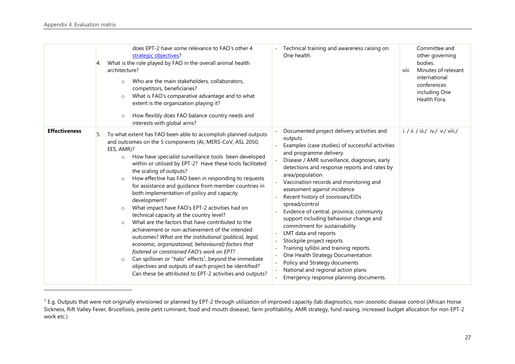|                      | does EPT-2 have some relevance to FAO's other 4<br>strategic objectives?<br>What is the role played by FAO in the overall animal health<br>Ι4.<br>architecture?<br>Who are the main stakeholders, collaborators,<br>$\circ$<br>competitors, beneficiaries?<br>What is FAO's comparative advantage and to what<br>$\circ$<br>extent is the organization playing it?<br>How flexibly does FAO balance country needs and<br>$\circ$<br>interests with global aims?                                                                                                                                                                                                                                                                                                                                                                                                                                                                                                                                                                                                                                  | Technical training and awareness raising on<br>One health.                                                                                                                                                                                                                                                                                                                                                                                                                                                                                                                                                                                                                                                                                                                                                                                                       | Committee and<br>other governing<br>bodies.<br>viii.<br>Minutes of relevant<br>international<br>conferences<br>including One<br>Health Fora. |
|----------------------|--------------------------------------------------------------------------------------------------------------------------------------------------------------------------------------------------------------------------------------------------------------------------------------------------------------------------------------------------------------------------------------------------------------------------------------------------------------------------------------------------------------------------------------------------------------------------------------------------------------------------------------------------------------------------------------------------------------------------------------------------------------------------------------------------------------------------------------------------------------------------------------------------------------------------------------------------------------------------------------------------------------------------------------------------------------------------------------------------|------------------------------------------------------------------------------------------------------------------------------------------------------------------------------------------------------------------------------------------------------------------------------------------------------------------------------------------------------------------------------------------------------------------------------------------------------------------------------------------------------------------------------------------------------------------------------------------------------------------------------------------------------------------------------------------------------------------------------------------------------------------------------------------------------------------------------------------------------------------|----------------------------------------------------------------------------------------------------------------------------------------------|
| <b>Effectiveness</b> | To what extent has FAO been able to accomplish planned outputs<br>and outcomes on the 5 components (AI, MERS-CoV, ASL 2050,<br>EES, AMR)?<br>How have specialist surveillance tools been developed<br>$\circ$<br>within or utilised by EPT-2? Have these tools facilitated<br>the scaling of outputs?<br>How effective has FAO been in responding to requests<br>$\circ$<br>for assistance and guidance from member countries in<br>both implementation of policy and capacity<br>development?<br>What impact have FAO's EPT-2 activities had on<br>$\circ$<br>technical capacity at the country level?<br>What are the factors that have contributed to the<br>$\circ$<br>achievement or non-achievement of the intended<br>outcomes? What are the institutional (political, legal,<br>economic, organizational, behavioural) factors that<br>fostered or constrained FAO's work on EPT?<br>Can spillover or "halo" effects <sup>1</sup> , beyond the immediate<br>$\circ$<br>objectives and outputs of each project be identified?<br>Can these be attributed to EPT-2 activities and outputs? | Documented project delivery activities and<br>outputs<br>Examples (case studies) of successful activities<br>and programme delivery<br>Disease / AMR surveillance, diagnoses, early<br>detections and response reports and rates by<br>area/population<br>Vaccination records and monitoring and<br>assessment against incidence<br>Recent history of zoonoses/EIDs<br>spread/control<br>Evidence of central, province, community<br>support including behaviour change and<br>commitment for sustainability<br>LMT data and reports<br>Stockpile project reports<br>$\overline{\phantom{a}}$<br>Training syllibii and training reports.<br>One Health Strategy Documentation<br>$\overline{\phantom{a}}$<br>Policy and Strategy documents<br>$\overline{\phantom{a}}$<br>National and regional action plans<br>$\sim$<br>Emergency response planning documents. | i. / ii. / iii./ iv./ v./ viii./                                                                                                             |

<sup>&</sup>lt;sup>1</sup> E.g. Outputs that were not originally envisioned or planned by EPT-2 through utilization of improved capacity (lab diagnostics, non-zoonotic disease control {African Horse Sickness, Rift Valley Fever, Brucellosis, peste petit ruminant, food and mouth disease}, farm profitability, AMR strategy, fund raising, increased budget allocation for non EPT-2 work etc.)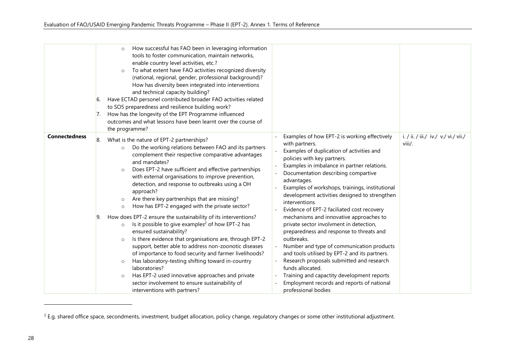|                      | 6.<br>17. | How successful has FAO been in leveraging information<br>tools to foster communication, maintain networks,<br>enable country level activities, etc.?<br>To what extent have FAO activities recognized diversity<br>$\circ$<br>(national, regional, gender, professional background)?<br>How has diversity been integrated into interventions<br>and technical capacity building?<br>Have ECTAD personel contributed broader FAO activities related<br>to SO5 preparedness and resilience building work?<br>How has the longevity of the EPT Programme influenced<br>outcomes and what lessons have been learnt over the course of<br>the programme?                                                                                                                                                                                                                                                                                                                                                                                                                                                        |                                                                                                                                                                                                                                                                                                                                                                                                                                                                                                                                                                                                                                                                                                                                                                                                                                                                                                                                    |
|----------------------|-----------|------------------------------------------------------------------------------------------------------------------------------------------------------------------------------------------------------------------------------------------------------------------------------------------------------------------------------------------------------------------------------------------------------------------------------------------------------------------------------------------------------------------------------------------------------------------------------------------------------------------------------------------------------------------------------------------------------------------------------------------------------------------------------------------------------------------------------------------------------------------------------------------------------------------------------------------------------------------------------------------------------------------------------------------------------------------------------------------------------------|------------------------------------------------------------------------------------------------------------------------------------------------------------------------------------------------------------------------------------------------------------------------------------------------------------------------------------------------------------------------------------------------------------------------------------------------------------------------------------------------------------------------------------------------------------------------------------------------------------------------------------------------------------------------------------------------------------------------------------------------------------------------------------------------------------------------------------------------------------------------------------------------------------------------------------|
| <b>Connectedness</b> | 8.<br>19. | What is the nature of EPT-2 partnerships?<br>Do the working relations between FAO and its partners<br>$\circ$<br>complement their respective comparative advantages<br>and mandates?<br>Does EPT-2 have sufficient and effective partnerships<br>$\circ$<br>with external organisations to improve prevention,<br>detection, and response to outbreaks using a OH<br>approach?<br>Are there key partnerships that are missing?<br>$\circ$<br>How has EPT-2 engaged with the private sector?<br>$\circ$<br>How does EPT-2 ensure the sustainability of its interventions?<br>Is it possible to give examples <sup>2</sup> of how EPT-2 has<br>$\circ$<br>ensured sustainability?<br>Is there evidence that organisations are, through EPT-2<br>$\circ$<br>support, better able to address non-zoonotic diseases<br>of importance to food security and farmer livelihoods?<br>Has laboratory-testing shifting toward in-country<br>$\circ$<br>laboratories?<br>Has EPT-2 used innovative approaches and private<br>$\circ$<br>sector involvement to ensure sustainability of<br>interventions with partners? | i. / ii. / iii./ iv./ v./ vi./ vii./<br>Examples of how EPT-2 is working effectively<br>with partners.<br>viii/.<br>Examples of duplication of activities and<br>policies with key partners.<br>Examples in imbalance in partner relations.<br>$\overline{\phantom{a}}$<br>Documentation describing compartive<br>advantages.<br>Examples of workshops, trainings, institutional<br>development activities designed to strengthen<br>interventions<br>Evidence of EPT-2 faciliated cost recovery<br>mechanisms and innovative approaches to<br>private sector involvment in detection,<br>preparedness and response to threats and<br>outbreaks.<br>Number and type of communication products<br>and tools utilised by EPT-2 and its partners.<br>Research proposals submitted and research<br>funds allocated.<br>Training and capactity development reports<br>Employment records and reports of national<br>professional bodies |

 $^2$  E.g. shared office space, secondments, investment, budget allocation, policy change, regulatory changes or some other institutional adjustment.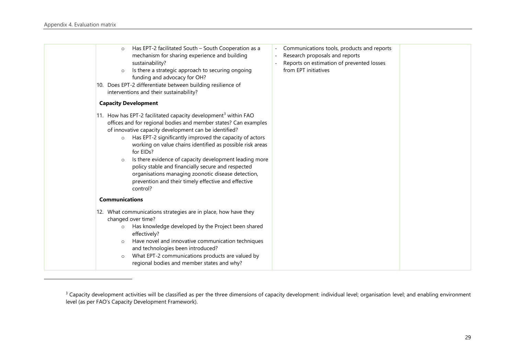| Has EPT-2 facilitated South - South Cooperation as a<br>$\circ$<br>mechanism for sharing experience and building<br>sustainability?<br>Is there a strategic approach to securing ongoing<br>$\circ$<br>funding and advocacy for OH?<br>interventions and their sustainability?                                                                                                                                                                                                                                               | Communications tools, products and reports<br>Research proposals and reports<br>Reports on estimation of prevented losses<br>from EPT initiatives                                                           |  |
|------------------------------------------------------------------------------------------------------------------------------------------------------------------------------------------------------------------------------------------------------------------------------------------------------------------------------------------------------------------------------------------------------------------------------------------------------------------------------------------------------------------------------|-------------------------------------------------------------------------------------------------------------------------------------------------------------------------------------------------------------|--|
| <b>Capacity Development</b>                                                                                                                                                                                                                                                                                                                                                                                                                                                                                                  |                                                                                                                                                                                                             |  |
| offices and for regional bodies and member states? Can examples<br>of innovative capacity development can be identified?<br>Has EPT-2 significantly improved the capacity of actors<br>$\circ$<br>working on value chains identified as possible risk areas<br>for EIDs?<br>Is there evidence of capacity development leading more<br>$\circ$<br>policy stable and financially secure and respected<br>organisations managing zoonotic disease detection,<br>prevention and their timely effective and effective<br>control? |                                                                                                                                                                                                             |  |
| <b>Communications</b>                                                                                                                                                                                                                                                                                                                                                                                                                                                                                                        |                                                                                                                                                                                                             |  |
| changed over time?<br>Has knowledge developed by the Project been shared<br>$\circ$<br>effectively?<br>Have novel and innovative communication techniques<br>$\circ$<br>and technologies been introduced?<br>What EPT-2 communications products are valued by<br>$\circ$<br>regional bodies and member states and why?                                                                                                                                                                                                       |                                                                                                                                                                                                             |  |
|                                                                                                                                                                                                                                                                                                                                                                                                                                                                                                                              | 10. Does EPT-2 differentiate between building resilience of<br>11. How has EPT-2 facilitated capacity development <sup>3</sup> within FAO<br>12. What communications strategies are in place, how have they |  |

<sup>&</sup>lt;sup>3</sup> Capacity development activities will be classified as per the three dimensions of capacity development: individual level; organisation level; and enabling environment level (as per FAO's Capacity Development Framework).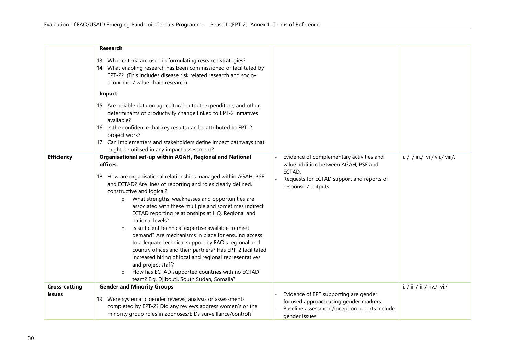|                                       | Research                                                                                                                                                                                                                                                                                                                                                                                                                                                                                                                                                                                                                                                                                                                                                                                                                                                                        |                                                                                                                                                               |                                |
|---------------------------------------|---------------------------------------------------------------------------------------------------------------------------------------------------------------------------------------------------------------------------------------------------------------------------------------------------------------------------------------------------------------------------------------------------------------------------------------------------------------------------------------------------------------------------------------------------------------------------------------------------------------------------------------------------------------------------------------------------------------------------------------------------------------------------------------------------------------------------------------------------------------------------------|---------------------------------------------------------------------------------------------------------------------------------------------------------------|--------------------------------|
|                                       | 13. What criteria are used in formulating research strategies?<br>14. What enabling research has been commissioned or facilitated by<br>EPT-2? (This includes disease risk related research and socio-<br>economic / value chain research).                                                                                                                                                                                                                                                                                                                                                                                                                                                                                                                                                                                                                                     |                                                                                                                                                               |                                |
|                                       | <b>Impact</b>                                                                                                                                                                                                                                                                                                                                                                                                                                                                                                                                                                                                                                                                                                                                                                                                                                                                   |                                                                                                                                                               |                                |
|                                       | 15. Are reliable data on agricultural output, expenditure, and other<br>determinants of productivity change linked to EPT-2 initiatives<br>available?<br>16. Is the confidence that key results can be attributed to EPT-2<br>project work?<br>17. Can implementers and stakeholders define impact pathways that<br>might be utilised in any impact assessment?                                                                                                                                                                                                                                                                                                                                                                                                                                                                                                                 |                                                                                                                                                               |                                |
| <b>Efficiency</b>                     | Organisational set-up within AGAH, Regional and National<br>offices.<br>18. How are organisational relationships managed within AGAH, PSE<br>and ECTAD? Are lines of reporting and roles clearly defined,<br>constructive and logical?<br>What strengths, weaknesses and opportunities are<br>$\circ$<br>associated with these multiple and sometimes indirect<br>ECTAD reporting relationships at HQ, Regional and<br>national levels?<br>Is sufficient technical expertise available to meet<br>$\circ$<br>demand? Are mechanisms in place for ensuing access<br>to adequate technical support by FAO's regional and<br>country offices and their partners? Has EPT-2 facilitated<br>increased hiring of local and regional representatives<br>and project staff?<br>How has ECTAD supported countries with no ECTAD<br>$\circ$<br>team? E.g. Djibouti, South Sudan, Somalia? | Evidence of complementary activities and<br>value addition between AGAH, PSE and<br>ECTAD.<br>Requests for ECTAD support and reports of<br>response / outputs | i. / / iii./ vi./ vii./ viii/. |
| <b>Cross-cutting</b><br><b>Issues</b> | <b>Gender and Minority Groups</b><br>19. Were systematic gender reviews, analysis or assessments,<br>completed by EPT-2? Did any reviews address women's or the<br>minority group roles in zoonoses/EIDs surveillance/control?                                                                                                                                                                                                                                                                                                                                                                                                                                                                                                                                                                                                                                                  | Evidence of EPT supporting are gender<br>focused approach using gender markers.<br>Baseline assessment/inception reports include<br>gender issues             | i. / ii. / iii./ iv./ vi./     |